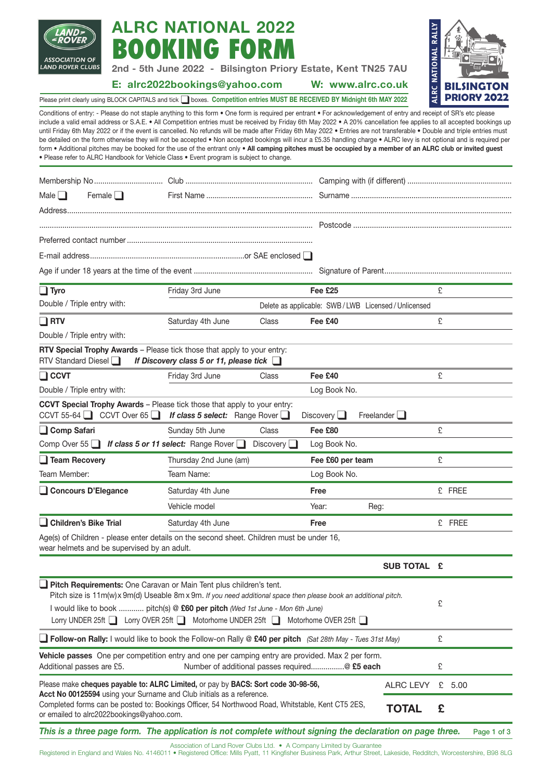

# **ALRC NATIONAL 2022 BOOKING FOR**

**2nd - 5th June 2022 - Bilsington Priory Estate, Kent TN25 7AU**

## **E: alrc2022bookings@yahoo.com W: www.alrc.co.uk**

**ALRC NATIONAL RALLY NATIONAL BILSINGTON ALRC PRIORY 2022**

Please print clearly using BLOCK CAPITALS and tick ❑boxes. **Competition entries MUST BE RECEIVED BY Midnight 6th MAY 2022**

Conditions of entry: - Please do not staple anything to this form • One form is required per entrant • For acknowledgement of entry and receipt of SR's etc please include a valid email address or S.A.E. • All Competition entries must be received by Friday 6th May 2022 • A 20% cancellation fee applies to all accepted bookings up until Friday 6th May 2022 or if the event is cancelled. No refunds will be made after Friday 6th May 2022 • Entries are not transferable • Double and triple entries must be detailed on the form otherwise they will not be accepted • Non accepted bookings will incur a £5.35 handling charge • ALRC levy is not optional and is required per form • Additional pitches may be booked for the use of the entrant only • All camping pitches must be occupied by a member of an ALRC club or invited quest • Please refer to ALRC Handbook for Vehicle Class • Event program is subject to change.

| Male $\square$<br>Female $\Box$                                                                                                                                                                                                                                                                                                                             |                                             |                                                                                                                           |                                                                                                  |                                                   |                   |   |          |
|-------------------------------------------------------------------------------------------------------------------------------------------------------------------------------------------------------------------------------------------------------------------------------------------------------------------------------------------------------------|---------------------------------------------|---------------------------------------------------------------------------------------------------------------------------|--------------------------------------------------------------------------------------------------|---------------------------------------------------|-------------------|---|----------|
|                                                                                                                                                                                                                                                                                                                                                             |                                             |                                                                                                                           |                                                                                                  |                                                   |                   |   |          |
|                                                                                                                                                                                                                                                                                                                                                             |                                             |                                                                                                                           |                                                                                                  |                                                   |                   |   |          |
|                                                                                                                                                                                                                                                                                                                                                             |                                             |                                                                                                                           |                                                                                                  |                                                   |                   |   |          |
|                                                                                                                                                                                                                                                                                                                                                             |                                             |                                                                                                                           |                                                                                                  |                                                   |                   |   |          |
|                                                                                                                                                                                                                                                                                                                                                             |                                             |                                                                                                                           |                                                                                                  |                                                   |                   |   |          |
| $\Box$ Tyro                                                                                                                                                                                                                                                                                                                                                 |                                             | Friday 3rd June                                                                                                           |                                                                                                  | Fee £25                                           |                   | £ |          |
| Double / Triple entry with:                                                                                                                                                                                                                                                                                                                                 |                                             |                                                                                                                           |                                                                                                  | Delete as applicable: SWB/LWB Licensed/Unlicensed |                   |   |          |
| $\Box$ RTV                                                                                                                                                                                                                                                                                                                                                  |                                             | Saturday 4th June                                                                                                         | Class                                                                                            | Fee £40                                           |                   | £ |          |
|                                                                                                                                                                                                                                                                                                                                                             | Double / Triple entry with:                 |                                                                                                                           |                                                                                                  |                                                   |                   |   |          |
| <b>RTV Standard Diesel</b>                                                                                                                                                                                                                                                                                                                                  |                                             | RTV Special Trophy Awards - Please tick those that apply to your entry:<br>If Discovery class 5 or 11, please tick $\Box$ |                                                                                                  |                                                   |                   |   |          |
| $\Box$ CCVT                                                                                                                                                                                                                                                                                                                                                 |                                             | Friday 3rd June                                                                                                           | Class                                                                                            | Fee £40                                           |                   | £ |          |
| Double / Triple entry with:                                                                                                                                                                                                                                                                                                                                 |                                             |                                                                                                                           |                                                                                                  | Log Book No.                                      |                   |   |          |
|                                                                                                                                                                                                                                                                                                                                                             | CCVT 55-64 $\Box$ CCVT Over 65 $\Box$       | CCVT Special Trophy Awards - Please tick those that apply to your entry:<br>If class 5 select: Range Rover $\Box$         |                                                                                                  | Discovery $\Box$                                  | Freelander $\Box$ |   |          |
| □ Comp Safari                                                                                                                                                                                                                                                                                                                                               |                                             | Sunday 5th June                                                                                                           | Class                                                                                            | Fee £80                                           |                   | £ |          |
|                                                                                                                                                                                                                                                                                                                                                             |                                             | Comp Over 55   If class 5 or 11 select: Range Rover                                                                       | Discovery $\Box$                                                                                 | Log Book No.                                      |                   |   |          |
| $\Box$ Team Recovery                                                                                                                                                                                                                                                                                                                                        |                                             | Thursday 2nd June (am)                                                                                                    |                                                                                                  | Fee £60 per team                                  |                   | £ |          |
| Team Member:                                                                                                                                                                                                                                                                                                                                                |                                             | Team Name:                                                                                                                |                                                                                                  |                                                   | Log Book No.      |   |          |
| Concours D'Elegance                                                                                                                                                                                                                                                                                                                                         |                                             | Saturday 4th June                                                                                                         |                                                                                                  | Free                                              |                   |   | £ FREE   |
|                                                                                                                                                                                                                                                                                                                                                             |                                             | Vehicle model                                                                                                             | Year:                                                                                            |                                                   | Reg:              |   |          |
| Children's Bike Trial                                                                                                                                                                                                                                                                                                                                       |                                             | Saturday 4th June                                                                                                         |                                                                                                  | Free                                              |                   |   | £ FREE   |
|                                                                                                                                                                                                                                                                                                                                                             | wear helmets and be supervised by an adult. | Age(s) of Children - please enter details on the second sheet. Children must be under 16,                                 |                                                                                                  |                                                   |                   |   |          |
|                                                                                                                                                                                                                                                                                                                                                             |                                             |                                                                                                                           |                                                                                                  |                                                   | SUB TOTAL £       |   |          |
| Pitch Requirements: One Caravan or Main Tent plus children's tent.<br>Pitch size is 11m(w) x 9m(d) Useable 8m x 9m. If you need additional space then please book an additional pitch.<br>I would like to book  pitch(s) @ £60 per pitch (Wed 1st June - Mon 6th June)<br>Lorry UNDER 25ft ■ Lorry OVER 25ft ■ Motorhome UNDER 25ft ■ Motorhome OVER 25ft ■ |                                             |                                                                                                                           |                                                                                                  |                                                   |                   |   |          |
| <b>Follow-on Rally:</b> I would like to book the Follow-on Rally @ £40 per pitch (Sat 28th May - Tues 31st May)                                                                                                                                                                                                                                             |                                             |                                                                                                                           |                                                                                                  |                                                   |                   |   |          |
| Vehicle passes One per competition entry and one per camping entry are provided. Max 2 per form.<br>Number of additional passes required@ £5 each<br>Additional passes are £5.                                                                                                                                                                              |                                             |                                                                                                                           |                                                                                                  |                                                   |                   |   |          |
| Please make cheques payable to: ALRC Limited, or pay by BACS: Sort code 30-98-56,<br><b>ALRC LEVY</b><br>Acct No 00125594 using your Surname and Club initials as a reference.                                                                                                                                                                              |                                             |                                                                                                                           |                                                                                                  |                                                   |                   |   | £ $5.00$ |
|                                                                                                                                                                                                                                                                                                                                                             | or emailed to alrc2022bookings@yahoo.com.   |                                                                                                                           | Completed forms can be posted to: Bookings Officer, 54 Northwood Road, Whitstable, Kent CT5 2ES, |                                                   | <b>TOTAL</b>      | £ |          |

**This is a three page form. The application is not complete without signing the declaration on page three.** Page 1 of 3

Association of Land Rover Clubs Ltd. • A Company Limited by Guarantee

Registered in England and Wales No. 4146011 • Registered Office: Mills Pyatt, 11 Kingfisher Business Park, Arthur Street, Lakeside, Redditch, Worcestershire, B98 8LG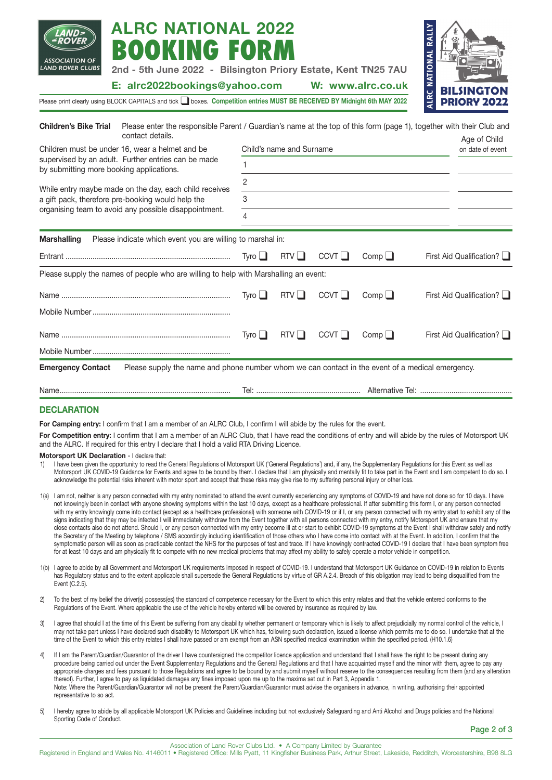| ALRC NATIONAL 2022<br>BOOKING FORM<br><b>ASSOCIATION OF</b><br>AND ROVER CLUBS.<br>2nd - 5th June 2022 - Bilsington Priory Estate, Kent TN25 7AU<br>E: alrc2022bookings@yahoo.com |             |                          |      | W: www.alrc.co.uk | <b>RALLY</b><br>ALRC NATIONAL           |  |  |
|-----------------------------------------------------------------------------------------------------------------------------------------------------------------------------------|-------------|--------------------------|------|-------------------|-----------------------------------------|--|--|
| Please print clearly using BLOCK CAPITALS and tick  subcxes. Competition entries MUST BE RECEIVED BY Midnight 6th MAY 2022                                                        |             |                          |      |                   | <b>BILSINGTON</b><br><b>PRIORY 2022</b> |  |  |
| <b>Children's Bike Trial</b><br>Please enter the responsible Parent / Guardian's name at the top of this form (page 1), together with their Club and<br>contact details.          |             |                          |      |                   | Age of Child                            |  |  |
| Children must be under 16, wear a helmet and be                                                                                                                                   |             | Child's name and Surname |      |                   |                                         |  |  |
| supervised by an adult. Further entries can be made<br>by submitting more booking applications.                                                                                   | 1           |                          |      |                   |                                         |  |  |
|                                                                                                                                                                                   | 2           |                          |      |                   |                                         |  |  |
| While entry maybe made on the day, each child receives<br>a gift pack, therefore pre-booking would help the                                                                       | 3           |                          |      |                   |                                         |  |  |
| organising team to avoid any possible disappointment.                                                                                                                             | 4           |                          |      |                   |                                         |  |  |
| <b>Marshalling</b><br>Please indicate which event you are willing to marshal in:                                                                                                  |             |                          |      |                   |                                         |  |  |
|                                                                                                                                                                                   | Tyro $\Box$ | RTV                      | CCVT | Comp              | First Aid Qualification?                |  |  |
| Please supply the names of people who are willing to help with Marshalling an event:                                                                                              |             |                          |      |                   |                                         |  |  |
|                                                                                                                                                                                   | Tvro        | $RTV$                    | CCVT | Comp $\Box$       | First Aid Qualification?                |  |  |
|                                                                                                                                                                                   |             |                          |      |                   |                                         |  |  |
|                                                                                                                                                                                   | Tyro $\Box$ | RTV                      | CCVT | $Comp \Box$       | First Aid Qualification?                |  |  |
|                                                                                                                                                                                   |             |                          |      |                   |                                         |  |  |
| Please supply the name and phone number whom we can contact in the event of a medical emergency.<br><b>Emergency Contact</b>                                                      |             |                          |      |                   |                                         |  |  |
|                                                                                                                                                                                   |             |                          |      |                   |                                         |  |  |

**ALATIONIAL 0000** 

### **DECLARATION**

For Camping entry: I confirm that I am a member of an ALRC Club, I confirm I will abide by the rules for the event.

For Competition entry: I confirm that I am a member of an ALRC Club, that I have read the conditions of entry and will abide by the rules of Motorsport UK and the ALRC. If required for this entry I declare that I hold a valid RTA Driving Licence.

**Motorsport UK Declaration** - I declare that:

- 1) I have been given the opportunity to read the General Regulations of Motorsport UK ('General Regulations') and, if any, the Supplementary Regulations for this Event as well as Motorsport UK COVID-19 Guidance for Events and agree to be bound by them. I declare that I am physically and mentally fit to take part in the Event and I am competent to do so. I acknowledge the potential risks inherent with motor sport and accept that these risks may give rise to my suffering personal injury or other loss.
- 1(a) I am not, neither is any person connected with my entry nominated to attend the event currently experiencing any symptoms of COVID-19 and have not done so for 10 days. I have not knowingly been in contact with anyone showing symptoms within the last 10 days, except as a healthcare professional. If after submitting this form I, or any person connected with my entry knowingly come into contact (except as a healthcare professional) with someone with COVID-19 or if I, or any person connected with my entry start to exhibit any of the signs indicating that they may be infected I will immediately withdraw from the Event together with all persons connected with my entry, notify Motorsport UK and ensure that my close contacts also do not attend. Should I, or any person connected with my entry become ill at or start to exhibit COVID-19 symptoms at the Event I shall withdraw safely and notify the Secretary of the Meeting by telephone / SMS accordingly including identification of those others who I have come into contact with at the Event. In addition, I confirm that the symptomatic person will as soon as practicable contact the NHS for the purposes of test and trace. If I have knowingly contracted COVID-19 I declare that I have been symptom free for at least 10 days and am physically fit to compete with no new medical problems that may affect my ability to safely operate a motor vehicle in competition.
- 1(b) I agree to abide by all Government and Motorsport UK requirements imposed in respect of COVID-19. I understand that Motorsport UK Guidance on COVID-19 in relation to Events has Regulatory status and to the extent applicable shall supersede the General Regulations by virtue of GR A.2.4. Breach of this obligation may lead to being disqualified from the Event (C.2.5).
- 2) To the best of my belief the driver(s) possess(es) the standard of competence necessary for the Event to which this entry relates and that the vehicle entered conforms to the Regulations of the Event. Where applicable the use of the vehicle hereby entered will be covered by insurance as required by law.
- 3) I agree that should I at the time of this Event be suffering from any disability whether permanent or temporary which is likely to affect prejudicially my normal control of the vehicle, I may not take part unless I have declared such disability to Motorsport UK which has, following such declaration, issued a license which permits me to do so. I undertake that at the time of the Event to which this entry relates I shall have passed or am exempt from an ASN specified medical examination within the specified period. (H10.1.6)
- 4) If I am the Parent/Guardian/Guarantor of the driver I have countersigned the competitor licence application and understand that I shall have the right to be present during any procedure being carried out under the Event Supplementary Regulations and the General Regulations and that I have acquainted myself and the minor with them, agree to pay any appropriate charges and fees pursuant to those Regulations and agree to be bound by and submit myself without reserve to the consequences resulting from them (and any alteration thereof). Further, I agree to pay as liquidated damages any fines imposed upon me up to the maxima set out in Part 3, Appendix 1. Note: Where the Parent/Guardian/Guarantor will not be present the Parent/Guardian/Guarantor must advise the organisers in advance, in writing, authorising their appointed representative to so act.
- 5) I hereby agree to abide by all applicable Motorsport UK Policies and Guidelines including but not exclusively Safeguarding and Anti Alcohol and Drugs policies and the National Sporting Code of Conduct.

**Page 2 of 3**